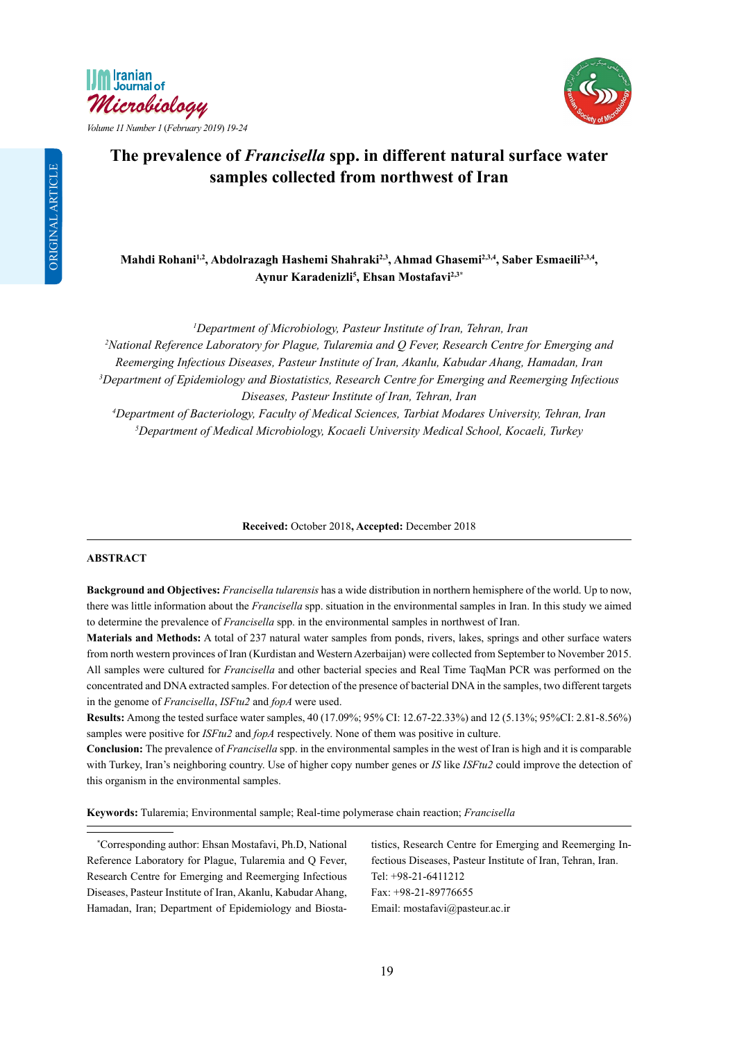



# **The prevalence of** *Francisella* **spp. in different natural surface water samples collected from northwest of Iran**

Mahdi Rohani<sup>1,2</sup>, Abdolrazagh Hashemi Shahraki<sup>2,3</sup>, Ahmad Ghasemi<sup>2,3,4</sup>, Saber Esmaeili<sup>2,3,4</sup>, **Aynur Karadenizli5 , Ehsan Mostafavi2,3\***

*1 Department of Microbiology, Pasteur Institute of Iran, Tehran, Iran*

*2 National Reference Laboratory for Plague, Tularemia and Q Fever, Research Centre for Emerging and Reemerging Infectious Diseases, Pasteur Institute of Iran, Akanlu, Kabudar Ahang, Hamadan, Iran 3 Department of Epidemiology and Biostatistics, Research Centre for Emerging and Reemerging Infectious Diseases, Pasteur Institute of Iran, Tehran, Iran*

*4 Department of Bacteriology, Faculty of Medical Sciences, Tarbiat Modares University, Tehran, Iran 5 Department of Medical Microbiology, Kocaeli University Medical School, Kocaeli, Turkey*

**Received:** October 2018**, Accepted:** December 2018

### **ABSTRACT**

**Background and Objectives:** *Francisella tularensis* has a wide distribution in northern hemisphere of the world. Up to now, there was little information about the *Francisella* spp. situation in the environmental samples in Iran. In this study we aimed to determine the prevalence of *Francisella* spp. in the environmental samples in northwest of Iran.

**Materials and Methods:** A total of 237 natural water samples from ponds, rivers, lakes, springs and other surface waters from north western provinces of Iran (Kurdistan and Western Azerbaijan) were collected from September to November 2015. All samples were cultured for *Francisella* and other bacterial species and Real Time TaqMan PCR was performed on the concentrated and DNA extracted samples. For detection of the presence of bacterial DNA in the samples, two different targets in the genome of *Francisella*, *ISFtu2* and *fopA* were used.

**Results:** Among the tested surface water samples, 40 (17.09%; 95% CI: 12.67-22.33%) and 12 (5.13%; 95%CI: 2.81-8.56%) samples were positive for *ISFtu2* and *fopA* respectively. None of them was positive in culture.

**Conclusion:** The prevalence of *Francisella* spp. in the environmental samples in the west of Iran is high and it is comparable with Turkey, Iran's neighboring country. Use of higher copy number genes or *IS* like *ISFtu2* could improve the detection of this organism in the environmental samples.

**Keywords:** Tularemia; Environmental sample; Real-time polymerase chain reaction; *Francisella*

\* Corresponding author: Ehsan Mostafavi, Ph.D, National Reference Laboratory for Plague, Tularemia and Q Fever, Research Centre for Emerging and Reemerging Infectious Diseases, Pasteur Institute of Iran, Akanlu, Kabudar Ahang, Hamadan, Iran; Department of Epidemiology and Biosta-

tistics, Research Centre for Emerging and Reemerging Infectious Diseases, Pasteur Institute of Iran, Tehran, Iran. Tel: +98-21-6411212 Fax: +98-21-89776655 Email: mostafavi@pasteur.ac.ir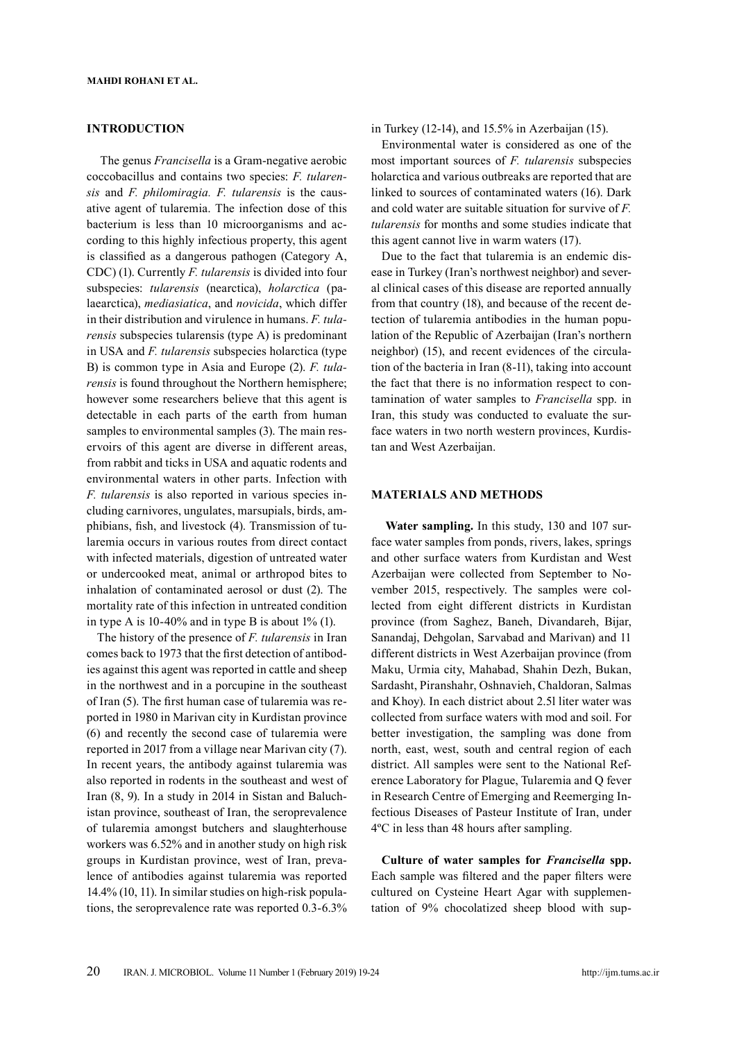## **INTRODUCTION**

 The genus *Francisella* is a Gram-negative aerobic coccobacillus and contains two species: *F. tularensis* and *F. philomiragia. F. tularensis* is the causative agent of tularemia. The infection dose of this bacterium is less than 10 microorganisms and according to this highly infectious property, this agent is classified as a dangerous pathogen (Category A, CDC) (1). Currently *F. tularensis* is divided into four subspecies: *tularensis* (nearctica), *holarctica* (palaearctica), *mediasiatica*, and *novicida*, which differ in their distribution and virulence in humans. *F. tularensis* subspecies tularensis (type A) is predominant in USA and *F. tularensis* subspecies holarctica (type B) is common type in Asia and Europe (2). *F. tularensis* is found throughout the Northern hemisphere; however some researchers believe that this agent is detectable in each parts of the earth from human samples to environmental samples (3). The main reservoirs of this agent are diverse in different areas, from rabbit and ticks in USA and aquatic rodents and environmental waters in other parts. Infection with *F. tularensis* is also reported in various species including carnivores, ungulates, marsupials, birds, amphibians, fish, and livestock (4). Transmission of tularemia occurs in various routes from direct contact with infected materials, digestion of untreated water or undercooked meat, animal or arthropod bites to inhalation of contaminated aerosol or dust (2). The mortality rate of this infection in untreated condition in type A is  $10-40\%$  and in type B is about  $1\%$  (1).

The history of the presence of *F. tularensis* in Iran comes back to 1973 that the first detection of antibodies against this agent was reported in cattle and sheep in the northwest and in a porcupine in the southeast of Iran (5). The first human case of tularemia was reported in 1980 in Marivan city in Kurdistan province (6) and recently the second case of tularemia were reported in 2017 from a village near Marivan city (7). In recent years, the antibody against tularemia was also reported in rodents in the southeast and west of Iran (8, 9). In a study in 2014 in Sistan and Baluchistan province, southeast of Iran, the seroprevalence of tularemia amongst butchers and slaughterhouse workers was 6.52% and in another study on high risk groups in Kurdistan province, west of Iran, prevalence of antibodies against tularemia was reported 14.4% (10, 11). In similar studies on high-risk populations, the seroprevalence rate was reported 0.3-6.3% in Turkey (12-14), and 15.5% in Azerbaijan (15).

Environmental water is considered as one of the most important sources of *F. tularensis* subspecies holarctica and various outbreaks are reported that are linked to sources of contaminated waters (16). Dark and cold water are suitable situation for survive of *F. tularensis* for months and some studies indicate that this agent cannot live in warm waters (17).

Due to the fact that tularemia is an endemic disease in Turkey (Iran's northwest neighbor) and several clinical cases of this disease are reported annually from that country (18), and because of the recent detection of tularemia antibodies in the human population of the Republic of Azerbaijan (Iran's northern neighbor) (15), and recent evidences of the circulation of the bacteria in Iran (8-11), taking into account the fact that there is no information respect to contamination of water samples to *Francisella* spp. in Iran, this study was conducted to evaluate the surface waters in two north western provinces, Kurdistan and West Azerbaijan.

#### **MATERIALS AND METHODS**

 **Water sampling.** In this study, 130 and 107 surface water samples from ponds, rivers, lakes, springs and other surface waters from Kurdistan and West Azerbaijan were collected from September to November 2015, respectively. The samples were collected from eight different districts in Kurdistan province (from Saghez, Baneh, Divandareh, Bijar, Sanandaj, Dehgolan, Sarvabad and Marivan) and 11 different districts in West Azerbaijan province (from Maku, Urmia city, Mahabad, Shahin Dezh, Bukan, Sardasht, Piranshahr, Oshnavieh, Chaldoran, Salmas and Khoy). In each district about 2.5l liter water was collected from surface waters with mod and soil. For better investigation, the sampling was done from north, east, west, south and central region of each district. All samples were sent to the National Reference Laboratory for Plague, Tularemia and Q fever in Research Centre of Emerging and Reemerging Infectious Diseases of Pasteur Institute of Iran, under 4ºC in less than 48 hours after sampling.

**Culture of water samples for** *Francisella* **spp.** Each sample was filtered and the paper filters were cultured on Cysteine Heart Agar with supplementation of 9% chocolatized sheep blood with sup-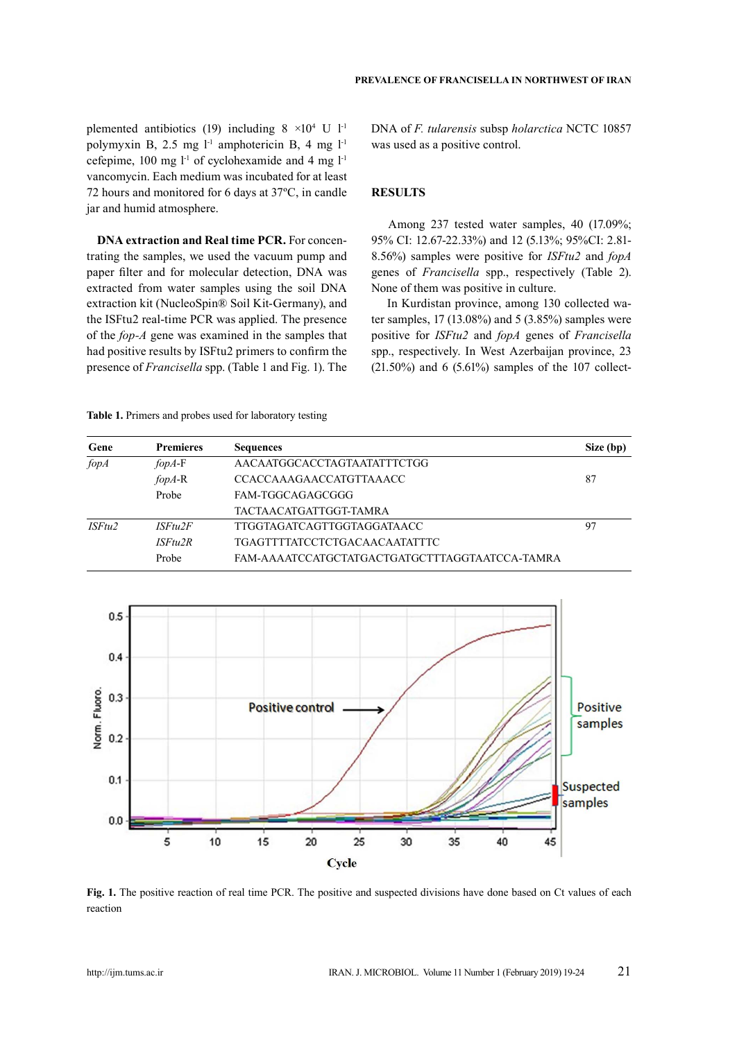plemented antibiotics (19) including  $8 \times 10^4$  U  $1^{-1}$ polymyxin B, 2.5 mg  $l<sup>-1</sup>$  amphotericin B, 4 mg  $l<sup>-1</sup>$ cefepime,  $100 \text{ mg } l^{\text{-}1}$  of cyclohexamide and 4 mg  $l^{\text{-}1}$ vancomycin. Each medium was incubated for at least 72 hours and monitored for 6 days at 37ºC, in candle jar and humid atmosphere.

**DNA extraction and Real time PCR.** For concentrating the samples, we used the vacuum pump and paper filter and for molecular detection, DNA was extracted from water samples using the soil DNA extraction kit (NucleoSpin® Soil Kit-Germany), and the ISFtu2 real-time PCR was applied. The presence of the *fop-A* gene was examined in the samples that had positive results by ISFtu2 primers to confirm the presence of *Francisella* spp. (Table 1 and Fig. 1). The DNA of *F. tularensis* subsp *holarctica* NCTC 10857 was used as a positive control.

# **RESULTS**

 Among 237 tested water samples, 40 (17.09%; 95% CI: 12.67-22.33%) and 12 (5.13%; 95%CI: 2.81- 8.56%) samples were positive for *ISFtu2* and *fopA*  genes of *Francisella* spp., respectively (Table 2). None of them was positive in culture.

 In Kurdistan province, among 130 collected water samples, 17 (13.08%) and 5 (3.85%) samples were positive for *ISFtu2* and *fopA* genes of *Francisella*  spp., respectively. In West Azerbaijan province, 23  $(21.50\%)$  and 6  $(5.61\%)$  samples of the 107 collect-

**Table 1.** Primers and probes used for laboratory testing

| Gene   | <b>Premieres</b>     | <b>Sequences</b>                               | Size (bp) |
|--------|----------------------|------------------------------------------------|-----------|
| fopA   | $fopA-F$             | AACAATGGCACCTAGTAATATTTCTGG                    |           |
|        | $f$ opA-R            | <b>CCACCAAAGAACCATGTTAAACC</b>                 | 87        |
|        | Probe                | FAM-TGGCAGAGCGGG                               |           |
|        |                      | TACTAACATGATTGGT-TAMRA                         |           |
| ISFtu2 | ISF <sub>tu</sub> 2F | TTGGTAGATCAGTTGGTAGGATAACC                     | 97        |
|        | ISF <sub>tu</sub> 2R | TGAGTTTTATCCTCTGACAACAATATTTC                  |           |
|        | Probe                | FAM-AAAATCCATGCTATGACTGATGCTTTAGGTAATCCA-TAMRA |           |



**Fig. 1.** The positive reaction of real time PCR. The positive and suspected divisions have done based on Ct values of each reaction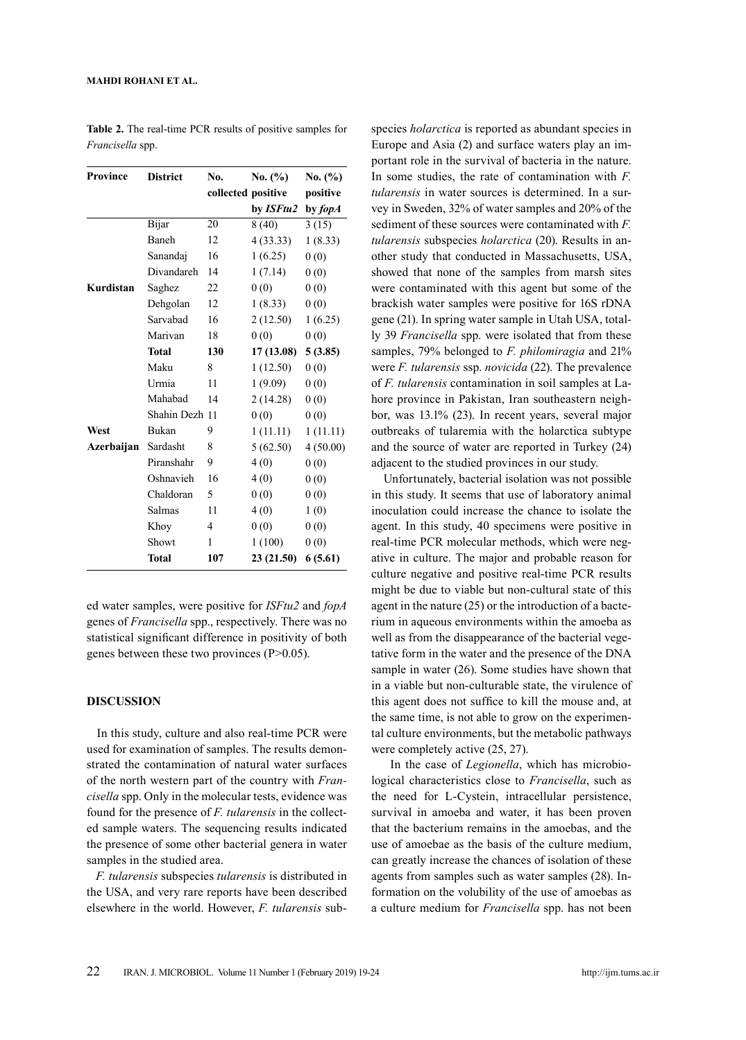#### **Mahdi Rohani ET AL.**

| Province   | <b>District</b> | No.                | No. (%)   | No. (%)  |
|------------|-----------------|--------------------|-----------|----------|
|            |                 | collected positive |           | positive |
|            |                 |                    | by ISFtu2 | by fopA  |
|            | Bijar           | 20                 | 8(40)     | 3(15)    |
|            | Baneh           | 12                 | 4(33.33)  | 1(8.33)  |
|            | Sanandaj        | 16                 | 1(6.25)   | 0(0)     |
|            | Divandareh      | 14                 | 1(7.14)   | 0(0)     |
| Kurdistan  | Saghez          | 22                 | 0(0)      | 0(0)     |
|            | Dehgolan        | 12                 | 1(8.33)   | 0(0)     |
|            | Sarvabad        | 16                 | 2(12.50)  | 1(6.25)  |
|            | Marivan         | 18                 | 0(0)      | 0(0)     |
|            | Total           | 130                | 17(13.08) | 5(3.85)  |
|            | Maku            | 8                  | 1(12.50)  | 0(0)     |
|            | Urmia           | 11                 | 1(9.09)   | 0(0)     |
|            | Mahabad         | 14                 | 2 (14.28) | 0(0)     |
|            | Shahin Dezh 11  |                    | 0(0)      | 0(0)     |
| West       | Bukan           | 9                  | 1(11.11)  | 1(11.11) |
| Azerbaijan | Sardasht        | 8                  | 5(62.50)  | 4(50.00) |
|            | Piranshahr      | 9                  | 4(0)      | 0(0)     |
|            | Oshnavieh       | 16                 | 4(0)      | 0(0)     |
|            | Chaldoran       | 5                  | 0(0)      | 0(0)     |
|            | Salmas          | 11                 | 4(0)      | 1(0)     |
|            | Khoy            | 4                  | 0(0)      | 0(0)     |
|            | Showt           | 1                  | 1(100)    | 0(0)     |
|            | <b>Total</b>    | 107                | 23(21.50) | 6(5.61)  |

**Table 2.** The real-time PCR results of positive samples for *Francisella* spp.

ed water samples, were positive for *ISFtu2* and *fopA*  genes of *Francisella* spp., respectively. There was no statistical significant difference in positivity of both genes between these two provinces (P>0.05).

## **DISCUSSION**

 In this study, culture and also real-time PCR were used for examination of samples. The results demonstrated the contamination of natural water surfaces of the north western part of the country with *Francisella* spp. Only in the molecular tests, evidence was found for the presence of *F. tularensis* in the collected sample waters. The sequencing results indicated the presence of some other bacterial genera in water samples in the studied area.

 *F. tularensis* subspecies *tularensis* is distributed in the USA, and very rare reports have been described elsewhere in the world. However, *F. tularensis* subspecies *holarctica* is reported as abundant species in Europe and Asia (2) and surface waters play an important role in the survival of bacteria in the nature. In some studies, the rate of contamination with *F. tularensis* in water sources is determined. In a survey in Sweden, 32% of water samples and 20% of the sediment of these sources were contaminated with *F. tularensis* subspecies *holarctica* (20). Results in another study that conducted in Massachusetts, USA, showed that none of the samples from marsh sites were contaminated with this agent but some of the brackish water samples were positive for 16S rDNA gene (21). In spring water sample in Utah USA, totally 39 *Francisella* spp. were isolated that from these samples, 79% belonged to *F. philomiragia* and 21% were *F. tularensis* ssp. *novicida* (22). The prevalence of *F. tularensis* contamination in soil samples at Lahore province in Pakistan, Iran southeastern neighbor, was 13.1% (23). In recent years, several major outbreaks of tularemia with the holarctica subtype and the source of water are reported in Turkey (24) adjacent to the studied provinces in our study.

 Unfortunately, bacterial isolation was not possible in this study. It seems that use of laboratory animal inoculation could increase the chance to isolate the agent. In this study, 40 specimens were positive in real-time PCR molecular methods, which were negative in culture. The major and probable reason for culture negative and positive real-time PCR results might be due to viable but non-cultural state of this agent in the nature (25) or the introduction of a bacterium in aqueous environments within the amoeba as well as from the disappearance of the bacterial vegetative form in the water and the presence of the DNA sample in water (26). Some studies have shown that in a viable but non-culturable state, the virulence of this agent does not suffice to kill the mouse and, at the same time, is not able to grow on the experimental culture environments, but the metabolic pathways were completely active (25, 27).

 In the case of *Legionella*, which has microbiological characteristics close to *Francisella*, such as the need for L-Cystein, intracellular persistence, survival in amoeba and water, it has been proven that the bacterium remains in the amoebas, and the use of amoebae as the basis of the culture medium, can greatly increase the chances of isolation of these agents from samples such as water samples (28). Information on the volubility of the use of amoebas as a culture medium for *Francisella* spp. has not been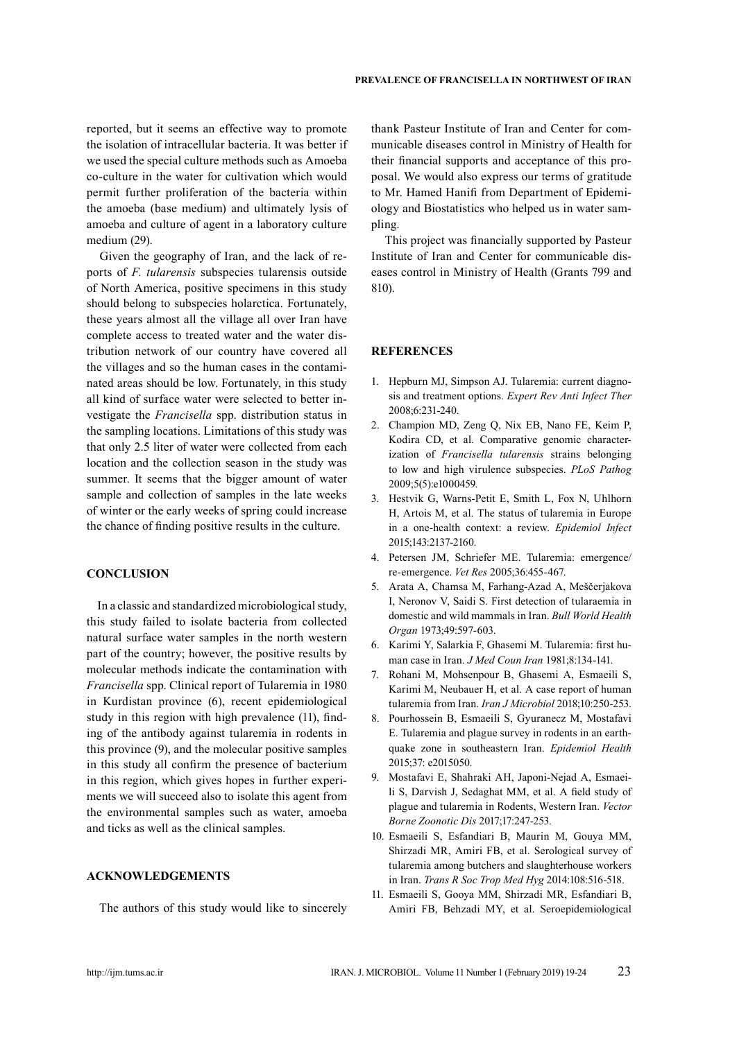reported, but it seems an effective way to promote the isolation of intracellular bacteria. It was better if we used the special culture methods such as Amoeba co-culture in the water for cultivation which would permit further proliferation of the bacteria within the amoeba (base medium) and ultimately lysis of amoeba and culture of agent in a laboratory culture medium (29).

 Given the geography of Iran, and the lack of reports of *F. tularensis* subspecies tularensis outside of North America, positive specimens in this study should belong to subspecies holarctica. Fortunately, these years almost all the village all over Iran have complete access to treated water and the water distribution network of our country have covered all the villages and so the human cases in the contaminated areas should be low. Fortunately, in this study all kind of surface water were selected to better investigate the *Francisella* spp. distribution status in the sampling locations. Limitations of this study was that only 2.5 liter of water were collected from each location and the collection season in the study was summer. It seems that the bigger amount of water sample and collection of samples in the late weeks of winter or the early weeks of spring could increase the chance of finding positive results in the culture.

# **CONCLUSION**

 In a classic and standardized microbiological study, this study failed to isolate bacteria from collected natural surface water samples in the north western part of the country; however, the positive results by molecular methods indicate the contamination with *Francisella* spp. Clinical report of Tularemia in 1980 in Kurdistan province (6), recent epidemiological study in this region with high prevalence (11), finding of the antibody against tularemia in rodents in this province (9), and the molecular positive samples in this study all confirm the presence of bacterium in this region, which gives hopes in further experiments we will succeed also to isolate this agent from the environmental samples such as water, amoeba and ticks as well as the clinical samples.

## **ACKNOWLEDGEMENTS**

The authors of this study would like to sincerely

thank Pasteur Institute of Iran and Center for communicable diseases control in Ministry of Health for their financial supports and acceptance of this proposal. We would also express our terms of gratitude to Mr. Hamed Hanifi from Department of Epidemiology and Biostatistics who helped us in water sampling.

 This project was financially supported by Pasteur Institute of Iran and Center for communicable diseases control in Ministry of Health (Grants 799 and 810).

## **REFERENCES**

- 1. Hepburn MJ, Simpson AJ. Tularemia: current diagnosis and treatment options. *Expert Rev Anti Infect Ther*  2008;6:231-240.
- 2. Champion MD, Zeng Q, Nix EB, Nano FE, Keim P, Kodira CD, et al. Comparative genomic characterization of *Francisella tularensis* strains belonging to low and high virulence subspecies. *PLoS Pathog*  2009;5(5):e1000459.
- 3. Hestvik G, Warns-Petit E, Smith L, Fox N, Uhlhorn H, Artois M, et al. The status of tularemia in Europe in a one-health context: a review. *Epidemiol Infect*  2015;143:2137-2160.
- 4. Petersen JM, Schriefer ME. Tularemia: emergence/ re-emergence. *Vet Res* 2005;36:455-467.
- 5. Arata A, Chamsa M, Farhang-Azad A, Meščerjakova I, Neronov V, Saidi S. First detection of tularaemia in domestic and wild mammals in Iran. *Bull World Health Organ* 1973;49:597-603.
- 6. Karimi Y, Salarkia F, Ghasemi M. Tularemia: first human case in Iran. *J Med Coun Iran* 1981;8:134-141.
- 7. Rohani M, Mohsenpour B, Ghasemi A, Esmaeili S, Karimi M, Neubauer H, et al. A case report of human tularemia from Iran. *Iran J Microbiol* 2018;10:250-253.
- 8. Pourhossein B, Esmaeili S, Gyuranecz M, Mostafavi E. Tularemia and plague survey in rodents in an earthquake zone in southeastern Iran. *Epidemiol Health*  2015;37: e2015050.
- 9. Mostafavi E, Shahraki AH, Japoni-Nejad A, Esmaeili S, Darvish J, Sedaghat MM, et al. A field study of plague and tularemia in Rodents, Western Iran. *Vector Borne Zoonotic Dis* 2017;17:247-253.
- 10. Esmaeili S, Esfandiari B, Maurin M, Gouya MM, Shirzadi MR, Amiri FB, et al. Serological survey of tularemia among butchers and slaughterhouse workers in Iran. *Trans R Soc Trop Med Hyg* 2014:108:516-518.
- 11. Esmaeili S, Gooya MM, Shirzadi MR, Esfandiari B, Amiri FB, Behzadi MY, et al. Seroepidemiological